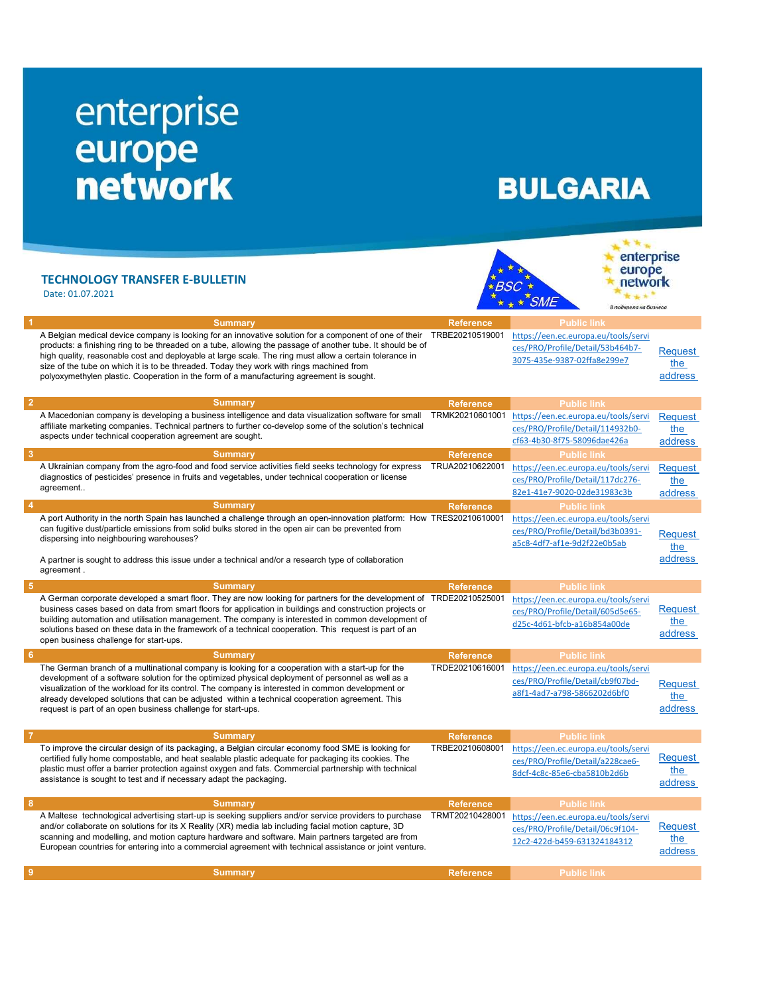## enterprise europe<br>network

## **BULGARIA**

 $\star \star \checkmark$ SME

te te u enterprise europe network **FALS** 

В подкрепа на бизнеса

ces/PRO/Profile/Detail/a228cae6- 8dcf-4c8c-85e6-cba5810b2d6b

address

**Request** the address

## TECHNOLOGY TRANSFER E-BULLETIN  $\overrightarrow{X}_{BSC}$

Date: 01.07.2021

| <b>Summary</b>                                                                                                                                                                                                                                                                                                                                                                                                                                                                                                          | <b>Reference</b> | <b>Public link</b>                                                                                      |                           |
|-------------------------------------------------------------------------------------------------------------------------------------------------------------------------------------------------------------------------------------------------------------------------------------------------------------------------------------------------------------------------------------------------------------------------------------------------------------------------------------------------------------------------|------------------|---------------------------------------------------------------------------------------------------------|---------------------------|
| A Belgian medical device company is looking for an innovative solution for a component of one of their<br>products: a finishing ring to be threaded on a tube, allowing the passage of another tube. It should be of<br>high quality, reasonable cost and deployable at large scale. The ring must allow a certain tolerance in<br>size of the tube on which it is to be threaded. Today they work with rings machined from<br>polyoxymethylen plastic. Cooperation in the form of a manufacturing agreement is sought. | TRBE20210519001  | https://een.ec.europa.eu/tools/servi<br>ces/PRO/Profile/Detail/53b464b7-<br>3075-435e-9387-02ffa8e299e7 | Request<br>the<br>address |
| <b>Summary</b>                                                                                                                                                                                                                                                                                                                                                                                                                                                                                                          | <b>Reference</b> | <b>Public link</b>                                                                                      |                           |
| A Macedonian company is developing a business intelligence and data visualization software for small<br>affiliate marketing companies. Technical partners to further co-develop some of the solution's technical<br>aspects under technical cooperation agreement are sought.                                                                                                                                                                                                                                           | TRMK20210601001  | https://een.ec.europa.eu/tools/servi<br>ces/PRO/Profile/Detail/114932b0-<br>cf63-4b30-8f75-58096dae426a | Request<br>the<br>address |
| <b>Summary</b>                                                                                                                                                                                                                                                                                                                                                                                                                                                                                                          | <b>Reference</b> | <b>Public link</b>                                                                                      |                           |
| A Ukrainian company from the agro-food and food service activities field seeks technology for express<br>diagnostics of pesticides' presence in fruits and vegetables, under technical cooperation or license<br>agreement                                                                                                                                                                                                                                                                                              | TRUA20210622001  | https://een.ec.europa.eu/tools/servi<br>ces/PRO/Profile/Detail/117dc276-<br>82e1-41e7-9020-02de31983c3b | Request<br>the<br>address |
| <b>Summary</b>                                                                                                                                                                                                                                                                                                                                                                                                                                                                                                          | Reference        | <b>Public link</b>                                                                                      |                           |
| A port Authority in the north Spain has launched a challenge through an open-innovation platform: How TRES20210610001<br>can fugitive dust/particle emissions from solid bulks stored in the open air can be prevented from<br>dispersing into neighbouring warehouses?                                                                                                                                                                                                                                                 |                  | https://een.ec.europa.eu/tools/servi<br>ces/PRO/Profile/Detail/bd3b0391-<br>a5c8-4df7-af1e-9d2f22e0b5ab | Request<br>the            |

A partner is sought to address this issue under a technical and/or a research type of collaboration agreement .

| 5 | <b>Summary</b>                                                                                                                                                                                                                                                                                                                                                                                                                                                                            | Reference       | <b>Public link</b>                                                                                      |                                  |
|---|-------------------------------------------------------------------------------------------------------------------------------------------------------------------------------------------------------------------------------------------------------------------------------------------------------------------------------------------------------------------------------------------------------------------------------------------------------------------------------------------|-----------------|---------------------------------------------------------------------------------------------------------|----------------------------------|
|   | A German corporate developed a smart floor. They are now looking for partners for the development of TRDE20210525001<br>business cases based on data from smart floors for application in buildings and construction projects or<br>building automation and utilisation management. The company is interested in common development of<br>solutions based on these data in the framework of a technical cooperation. This request is part of an<br>open business challenge for start-ups. |                 | https://een.ec.europa.eu/tools/servi<br>ces/PRO/Profile/Detail/605d5e65-<br>d25c-4d61-bfcb-a16b854a00de | Request<br><u>the</u><br>address |
| 6 | <b>Summary</b>                                                                                                                                                                                                                                                                                                                                                                                                                                                                            | Reference,      | <b>Public link</b>                                                                                      |                                  |
|   | The German branch of a multinational company is looking for a cooperation with a start-up for the<br>development of a software solution for the optimized physical deployment of personnel as well as a<br>visualization of the workload for its control. The company is interested in common development or<br>already developed solutions that can be adjusted within a technical cooperation agreement. This<br>request is part of an open business challenge for start-ups.           | TRDE20210616001 | https://een.ec.europa.eu/tools/servi<br>ces/PRO/Profile/Detail/cb9f07bd-<br>a8f1-4ad7-a798-5866202d6bf0 | <b>Request</b><br>the<br>address |
|   | <b>Summary</b>                                                                                                                                                                                                                                                                                                                                                                                                                                                                            | Reference,      | <b>Public link</b>                                                                                      |                                  |
|   | To improve the circular design of its packaging, a Belgian circular economy food SME is looking for                                                                                                                                                                                                                                                                                                                                                                                       | TRBE20210608001 | https://een.ec.europa.eu/tools/servi                                                                    |                                  |

To improve the circular design of its packaging, a Belgian circular economy food SME is looking for certified fully home compostable, and heat sealable plastic adequate for packaging its cookies. The plastic must offer a barrier protection against oxygen and fats. Commercial partnership with technical assistance is sought to test and if necessary adapt the packaging.

| <b>Summary</b>                                                                                                                                                                                                                                                                                                                                                                                                                 | <b>Reference</b> | <b>Public link</b>                                                                                      |                                  |
|--------------------------------------------------------------------------------------------------------------------------------------------------------------------------------------------------------------------------------------------------------------------------------------------------------------------------------------------------------------------------------------------------------------------------------|------------------|---------------------------------------------------------------------------------------------------------|----------------------------------|
| A Maltese technological advertising start-up is seeking suppliers and/or service providers to purchase<br>and/or collaborate on solutions for its X Reality (XR) media lab including facial motion capture, 3D<br>scanning and modelling, and motion capture hardware and software. Main partners targeted are from<br>European countries for entering into a commercial agreement with technical assistance or joint venture. | TRMT20210428001  | https://een.ec.europa.eu/tools/servi<br>ces/PRO/Profile/Detail/06c9f104-<br>12c2-422d-b459-631324184312 | Request<br><u>the</u><br>address |
| <b>Summary</b>                                                                                                                                                                                                                                                                                                                                                                                                                 | Reference        | <b>Public link</b>                                                                                      |                                  |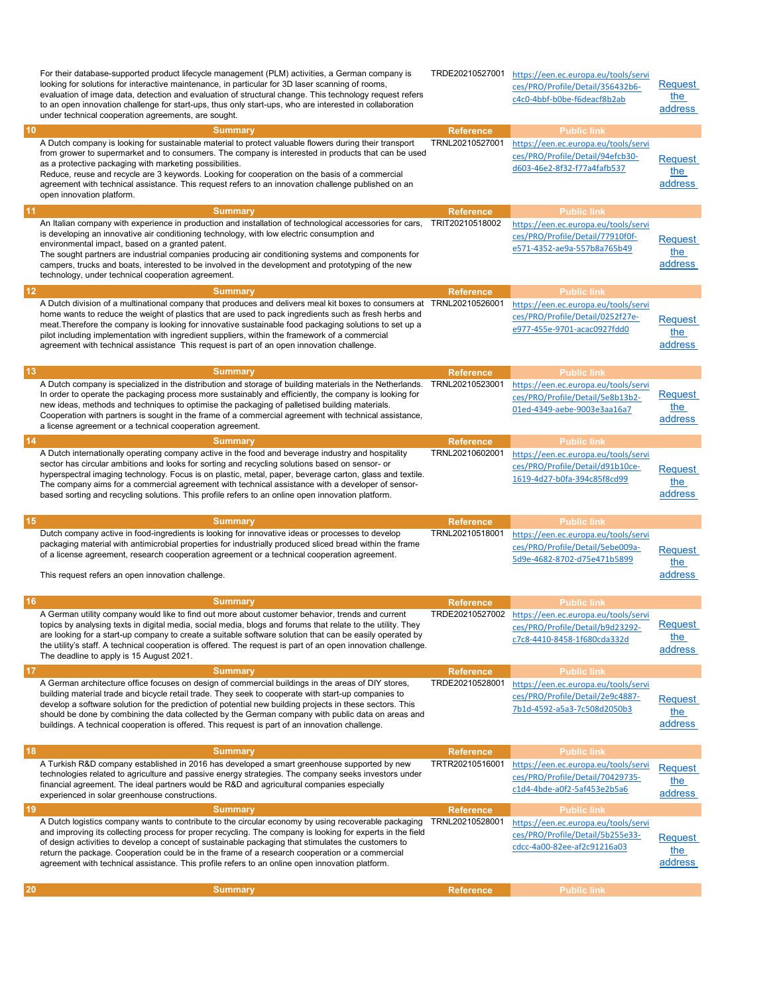| 10        | For their database-supported product lifecycle management (PLM) activities, a German company is<br>looking for solutions for interactive maintenance, in particular for 3D laser scanning of rooms,<br>evaluation of image data, detection and evaluation of structural change. This technology request refers<br>to an open innovation challenge for start-ups, thus only start-ups, who are interested in collaboration<br>under technical cooperation agreements, are sought.<br><b>Summary</b> | TRDE20210527001<br><b>Reference</b> | https://een.ec.europa.eu/tools/servi<br>ces/PRO/Profile/Detail/356432b6-<br>c4c0-4bbf-b0be-f6deacf8b2ab<br><b>Public link</b> | Request<br>the<br>address |
|-----------|----------------------------------------------------------------------------------------------------------------------------------------------------------------------------------------------------------------------------------------------------------------------------------------------------------------------------------------------------------------------------------------------------------------------------------------------------------------------------------------------------|-------------------------------------|-------------------------------------------------------------------------------------------------------------------------------|---------------------------|
|           | A Dutch company is looking for sustainable material to protect valuable flowers during their transport                                                                                                                                                                                                                                                                                                                                                                                             | TRNL20210527001                     | https://een.ec.europa.eu/tools/servi                                                                                          |                           |
|           | from grower to supermarket and to consumers. The company is interested in products that can be used                                                                                                                                                                                                                                                                                                                                                                                                |                                     | ces/PRO/Profile/Detail/94efcb30-                                                                                              |                           |
|           | as a protective packaging with marketing possibilities.                                                                                                                                                                                                                                                                                                                                                                                                                                            |                                     | d603-46e2-8f32-f77a4fafb537                                                                                                   | Request                   |
|           | Reduce, reuse and recycle are 3 keywords. Looking for cooperation on the basis of a commercial                                                                                                                                                                                                                                                                                                                                                                                                     |                                     |                                                                                                                               | the                       |
|           | agreement with technical assistance. This request refers to an innovation challenge published on an                                                                                                                                                                                                                                                                                                                                                                                                |                                     |                                                                                                                               | address                   |
|           | open innovation platform.                                                                                                                                                                                                                                                                                                                                                                                                                                                                          |                                     |                                                                                                                               |                           |
| 11        | <b>Summary</b>                                                                                                                                                                                                                                                                                                                                                                                                                                                                                     | <b>Reference</b>                    | <b>Public link</b>                                                                                                            |                           |
|           | An Italian company with experience in production and installation of technological accessories for cars,                                                                                                                                                                                                                                                                                                                                                                                           | TRIT20210518002                     | https://een.ec.europa.eu/tools/servi                                                                                          |                           |
|           | is developing an innovative air conditioning technology, with low electric consumption and                                                                                                                                                                                                                                                                                                                                                                                                         |                                     | ces/PRO/Profile/Detail/77910f0f-                                                                                              |                           |
|           | environmental impact, based on a granted patent.                                                                                                                                                                                                                                                                                                                                                                                                                                                   |                                     | e571-4352-ae9a-557b8a765b49                                                                                                   | Reauest                   |
|           | The sought partners are industrial companies producing air conditioning systems and components for                                                                                                                                                                                                                                                                                                                                                                                                 |                                     |                                                                                                                               | the                       |
|           | campers, trucks and boats, interested to be involved in the development and prototyping of the new                                                                                                                                                                                                                                                                                                                                                                                                 |                                     |                                                                                                                               | address                   |
|           | technology, under technical cooperation agreement.                                                                                                                                                                                                                                                                                                                                                                                                                                                 |                                     |                                                                                                                               |                           |
| 12        | <b>Summary</b>                                                                                                                                                                                                                                                                                                                                                                                                                                                                                     | <b>Reference</b>                    | <b>Public link</b>                                                                                                            |                           |
|           | A Dutch division of a multinational company that produces and delivers meal kit boxes to consumers at TRNL20210526001                                                                                                                                                                                                                                                                                                                                                                              |                                     | https://een.ec.europa.eu/tools/servi                                                                                          |                           |
|           | home wants to reduce the weight of plastics that are used to pack ingredients such as fresh herbs and                                                                                                                                                                                                                                                                                                                                                                                              |                                     | ces/PRO/Profile/Detail/0252f27e-                                                                                              | <b>Request</b>            |
|           | meat. Therefore the company is looking for innovative sustainable food packaging solutions to set up a                                                                                                                                                                                                                                                                                                                                                                                             |                                     | e977-455e-9701-acac0927fdd0                                                                                                   | the                       |
|           | pilot including implementation with ingredient suppliers, within the framework of a commercial                                                                                                                                                                                                                                                                                                                                                                                                     |                                     |                                                                                                                               |                           |
|           | agreement with technical assistance This request is part of an open innovation challenge.                                                                                                                                                                                                                                                                                                                                                                                                          |                                     |                                                                                                                               | address                   |
|           |                                                                                                                                                                                                                                                                                                                                                                                                                                                                                                    |                                     |                                                                                                                               |                           |
| <b>13</b> | <b>Summary</b>                                                                                                                                                                                                                                                                                                                                                                                                                                                                                     | <b>Reference</b>                    | <b>Public link</b>                                                                                                            |                           |
|           | A Dutch company is specialized in the distribution and storage of building materials in the Netherlands.                                                                                                                                                                                                                                                                                                                                                                                           | TRNL20210523001                     | https://een.ec.europa.eu/tools/servi                                                                                          |                           |
|           | In order to operate the packaging process more sustainably and efficiently, the company is looking for<br>new ideas, methods and techniques to optimise the packaging of palletised building materials.                                                                                                                                                                                                                                                                                            |                                     | ces/PRO/Profile/Detail/5e8b13b2-                                                                                              | Request                   |
|           | Cooperation with partners is sought in the frame of a commercial agreement with technical assistance,                                                                                                                                                                                                                                                                                                                                                                                              |                                     | 01ed-4349-aebe-9003e3aa16a7                                                                                                   | the                       |
|           | a license agreement or a technical cooperation agreement.                                                                                                                                                                                                                                                                                                                                                                                                                                          |                                     |                                                                                                                               | address                   |
| 14        | <b>Summary</b>                                                                                                                                                                                                                                                                                                                                                                                                                                                                                     | <b>Reference</b>                    | <b>Public link</b>                                                                                                            |                           |
|           | A Dutch internationally operating company active in the food and beverage industry and hospitality                                                                                                                                                                                                                                                                                                                                                                                                 | TRNL20210602001                     | https://een.ec.europa.eu/tools/servi                                                                                          |                           |
|           | sector has circular ambitions and looks for sorting and recycling solutions based on sensor- or                                                                                                                                                                                                                                                                                                                                                                                                    |                                     | ces/PRO/Profile/Detail/d91b10ce-                                                                                              |                           |
|           | hyperspectral imaging technology. Focus is on plastic, metal, paper, beverage carton, glass and textile.                                                                                                                                                                                                                                                                                                                                                                                           |                                     | 1619-4d27-b0fa-394c85f8cd99                                                                                                   | Request                   |
|           | The company aims for a commercial agreement with technical assistance with a developer of sensor-                                                                                                                                                                                                                                                                                                                                                                                                  |                                     |                                                                                                                               | the                       |
|           |                                                                                                                                                                                                                                                                                                                                                                                                                                                                                                    |                                     |                                                                                                                               |                           |
|           | based sorting and recycling solutions. This profile refers to an online open innovation platform.                                                                                                                                                                                                                                                                                                                                                                                                  |                                     |                                                                                                                               | address                   |
|           |                                                                                                                                                                                                                                                                                                                                                                                                                                                                                                    |                                     |                                                                                                                               |                           |
| 15        | <b>Summary</b>                                                                                                                                                                                                                                                                                                                                                                                                                                                                                     | <b>Reference</b>                    | <b>Public link</b>                                                                                                            |                           |
|           | Dutch company active in food-ingredients is looking for innovative ideas or processes to develop                                                                                                                                                                                                                                                                                                                                                                                                   | TRNL20210518001                     | https://een.ec.europa.eu/tools/servi                                                                                          |                           |
|           | packaging material with antimicrobial properties for industrially produced sliced bread within the frame                                                                                                                                                                                                                                                                                                                                                                                           |                                     | ces/PRO/Profile/Detail/5ebe009a-                                                                                              | Request                   |
|           | of a license agreement, research cooperation agreement or a technical cooperation agreement.                                                                                                                                                                                                                                                                                                                                                                                                       |                                     | 5d9e-4682-8702-d75e471b5899                                                                                                   | the                       |
|           | This request refers an open innovation challenge.                                                                                                                                                                                                                                                                                                                                                                                                                                                  |                                     |                                                                                                                               | address                   |
|           |                                                                                                                                                                                                                                                                                                                                                                                                                                                                                                    |                                     |                                                                                                                               |                           |
| 16        | <b>Summary</b>                                                                                                                                                                                                                                                                                                                                                                                                                                                                                     | <b>Reference</b>                    | <b>Public link</b>                                                                                                            |                           |
|           | A German utility company would like to find out more about customer behavior, trends and current                                                                                                                                                                                                                                                                                                                                                                                                   |                                     |                                                                                                                               |                           |
|           | topics by analysing texts in digital media, social media, blogs and forums that relate to the utility. They                                                                                                                                                                                                                                                                                                                                                                                        |                                     | TRDE20210527002 https://een.ec.europa.eu/tools/servi                                                                          | Request                   |
|           | are looking for a start-up company to create a suitable software solution that can be easily operated by                                                                                                                                                                                                                                                                                                                                                                                           |                                     | ces/PRO/Profile/Detail/b9d23292-                                                                                              | the                       |
|           | the utility's staff. A technical cooperation is offered. The request is part of an open innovation challenge.                                                                                                                                                                                                                                                                                                                                                                                      |                                     | c7c8-4410-8458-1f680cda332d                                                                                                   |                           |
|           | The deadline to apply is 15 August 2021.                                                                                                                                                                                                                                                                                                                                                                                                                                                           |                                     |                                                                                                                               | address                   |
| 17        | <b>Summary</b>                                                                                                                                                                                                                                                                                                                                                                                                                                                                                     | <b>Reference</b>                    | <b>Public link</b>                                                                                                            |                           |
|           | A German architecture office focuses on design of commercial buildings in the areas of DIY stores,                                                                                                                                                                                                                                                                                                                                                                                                 | TRDE20210528001                     | https://een.ec.europa.eu/tools/servi                                                                                          |                           |
|           | building material trade and bicycle retail trade. They seek to cooperate with start-up companies to                                                                                                                                                                                                                                                                                                                                                                                                |                                     | ces/PRO/Profile/Detail/2e9c4887-                                                                                              |                           |
|           | develop a software solution for the prediction of potential new building projects in these sectors. This                                                                                                                                                                                                                                                                                                                                                                                           |                                     | 7b1d-4592-a5a3-7c508d2050b3                                                                                                   | <b>Request</b>            |
|           | should be done by combining the data collected by the German company with public data on areas and                                                                                                                                                                                                                                                                                                                                                                                                 |                                     |                                                                                                                               | the                       |
|           | buildings. A technical cooperation is offered. This request is part of an innovation challenge.                                                                                                                                                                                                                                                                                                                                                                                                    |                                     |                                                                                                                               | address                   |
|           |                                                                                                                                                                                                                                                                                                                                                                                                                                                                                                    |                                     |                                                                                                                               |                           |
| 18        | <b>Summary</b>                                                                                                                                                                                                                                                                                                                                                                                                                                                                                     | <b>Reference</b><br>TRTR20210516001 | <b>Public link</b>                                                                                                            |                           |
|           | A Turkish R&D company established in 2016 has developed a smart greenhouse supported by new<br>technologies related to agriculture and passive energy strategies. The company seeks investors under                                                                                                                                                                                                                                                                                                |                                     | https://een.ec.europa.eu/tools/servi                                                                                          | <b>Request</b>            |
|           | financial agreement. The ideal partners would be R&D and agricultural companies especially                                                                                                                                                                                                                                                                                                                                                                                                         |                                     | ces/PRO/Profile/Detail/70429735-                                                                                              | the                       |
|           | experienced in solar greenhouse constructions.                                                                                                                                                                                                                                                                                                                                                                                                                                                     |                                     | c1d4-4bde-a0f2-5af453e2b5a6                                                                                                   | address                   |
| 19        | <b>Summary</b>                                                                                                                                                                                                                                                                                                                                                                                                                                                                                     | <b>Reference</b>                    | <b>Public link</b>                                                                                                            |                           |
|           | A Dutch logistics company wants to contribute to the circular economy by using recoverable packaging                                                                                                                                                                                                                                                                                                                                                                                               | TRNL20210528001                     | https://een.ec.europa.eu/tools/servi                                                                                          |                           |
|           | and improving its collecting process for proper recycling. The company is looking for experts in the field                                                                                                                                                                                                                                                                                                                                                                                         |                                     | ces/PRO/Profile/Detail/5b255e33-                                                                                              |                           |
|           | of design activities to develop a concept of sustainable packaging that stimulates the customers to                                                                                                                                                                                                                                                                                                                                                                                                |                                     | cdcc-4a00-82ee-af2c91216a03                                                                                                   | <u>Request</u>            |
|           | return the package. Cooperation could be in the frame of a research cooperation or a commercial                                                                                                                                                                                                                                                                                                                                                                                                    |                                     |                                                                                                                               | the                       |
|           | agreement with technical assistance. This profile refers to an online open innovation platform.                                                                                                                                                                                                                                                                                                                                                                                                    |                                     |                                                                                                                               | address                   |
| 20        | <b>Summary</b>                                                                                                                                                                                                                                                                                                                                                                                                                                                                                     | <b>Reference</b>                    | <b>Public link</b>                                                                                                            |                           |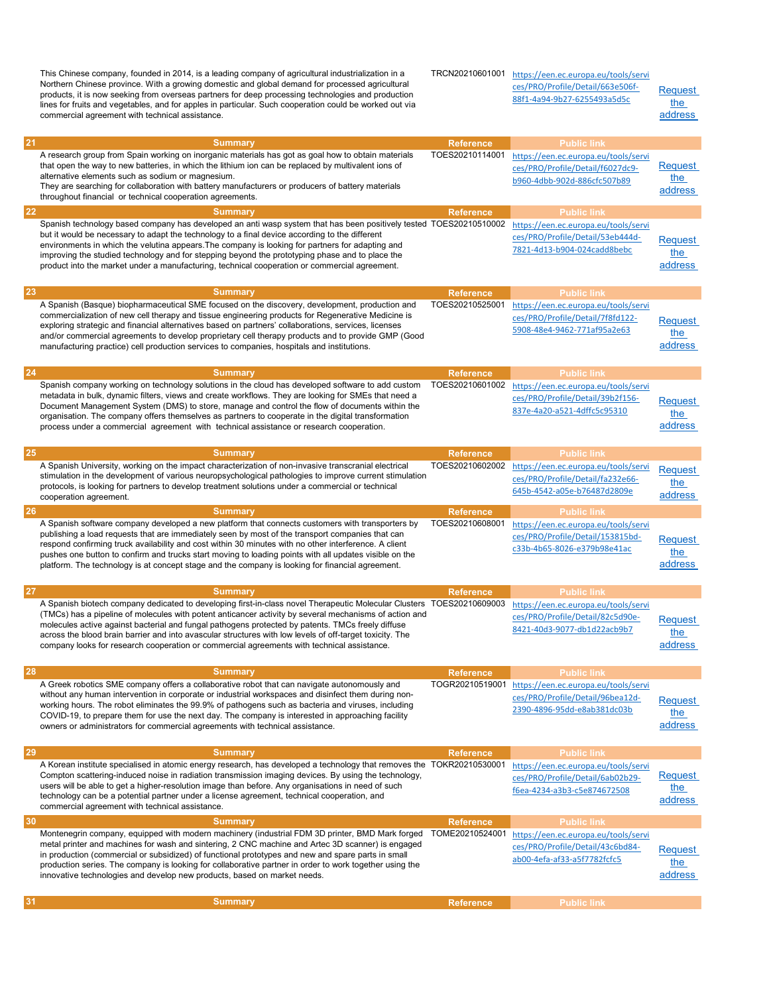This Chinese company, founded in 2014, is a leading company of agricultural industrialization in a Northern Chinese province. With a growing domestic and global demand for processed agricultural products, it is now seeking from overseas partners for deep processing technologies and production lines for fruits and vegetables, and for apples in particular. Such cooperation could be worked out via commercial agreement with technical assistance.

TRCN20210601001 https://een.ec.europa.eu/tools/servi ces/PRO/Profile/Detail/663e506f-88f1-4a94-9b27-6255493a5d5c

**Request** the address

| 21 |                                                                                                                                                                                                                                                                                                                                                                                                                                                                                                                                                |                                     |                                                                                                                               |                                  |
|----|------------------------------------------------------------------------------------------------------------------------------------------------------------------------------------------------------------------------------------------------------------------------------------------------------------------------------------------------------------------------------------------------------------------------------------------------------------------------------------------------------------------------------------------------|-------------------------------------|-------------------------------------------------------------------------------------------------------------------------------|----------------------------------|
|    | <b>Summary</b><br>A research group from Spain working on inorganic materials has got as goal how to obtain materials<br>that open the way to new batteries, in which the lithium ion can be replaced by multivalent ions of<br>alternative elements such as sodium or magnesium.<br>They are searching for collaboration with battery manufacturers or producers of battery materials                                                                                                                                                          | <b>Reference</b><br>TOES20210114001 | <b>Public link</b><br>https://een.ec.europa.eu/tools/servi<br>ces/PRO/Profile/Detail/f6027dc9-<br>b960-4dbb-902d-886cfc507b89 | Request<br>the<br>address        |
|    | throughout financial or technical cooperation agreements.                                                                                                                                                                                                                                                                                                                                                                                                                                                                                      |                                     |                                                                                                                               |                                  |
| 22 | <b>Summary</b>                                                                                                                                                                                                                                                                                                                                                                                                                                                                                                                                 | <b>Reference</b>                    | <b>Public link</b>                                                                                                            |                                  |
|    | Spanish technology based company has developed an anti wasp system that has been positively tested TOES20210510002<br>but it would be necessary to adapt the technology to a final device according to the different<br>environments in which the velutina appears. The company is looking for partners for adapting and<br>improving the studied technology and for stepping beyond the prototyping phase and to place the<br>product into the market under a manufacturing, technical cooperation or commercial agreement.                   |                                     | https://een.ec.europa.eu/tools/servi<br>ces/PRO/Profile/Detail/53eb444d-<br>7821-4d13-b904-024cadd8bebc                       | <b>Request</b><br>the<br>address |
|    |                                                                                                                                                                                                                                                                                                                                                                                                                                                                                                                                                |                                     |                                                                                                                               |                                  |
| 23 | <b>Summary</b>                                                                                                                                                                                                                                                                                                                                                                                                                                                                                                                                 | <b>Reference</b>                    | <b>Public link</b>                                                                                                            |                                  |
|    | A Spanish (Basque) biopharmaceutical SME focused on the discovery, development, production and<br>commercialization of new cell therapy and tissue engineering products for Regenerative Medicine is<br>exploring strategic and financial alternatives based on partners' collaborations, services, licenses<br>and/or commercial agreements to develop proprietary cell therapy products and to provide GMP (Good<br>manufacturing practice) cell production services to companies, hospitals and institutions.                               | TOES20210525001                     | https://een.ec.europa.eu/tools/servi<br>ces/PRO/Profile/Detail/7f8fd122-<br>5908-48e4-9462-771af95a2e63                       | Request<br>the<br>address        |
| 24 | <b>Summary</b>                                                                                                                                                                                                                                                                                                                                                                                                                                                                                                                                 | <b>Reference</b>                    | <b>Public link</b>                                                                                                            |                                  |
|    | Spanish company working on technology solutions in the cloud has developed software to add custom<br>metadata in bulk, dynamic filters, views and create workflows. They are looking for SMEs that need a<br>Document Management System (DMS) to store, manage and control the flow of documents within the<br>organisation. The company offers themselves as partners to cooperate in the digital transformation<br>process under a commercial agreement with technical assistance or research cooperation.                                   | TOES20210601002                     | https://een.ec.europa.eu/tools/servi<br>ces/PRO/Profile/Detail/39b2f156-<br>837e-4a20-a521-4dffc5c95310                       | <b>Request</b><br>the<br>address |
| 25 | <b>Summary</b>                                                                                                                                                                                                                                                                                                                                                                                                                                                                                                                                 | <b>Reference</b>                    | <b>Public link</b>                                                                                                            |                                  |
|    | A Spanish University, working on the impact characterization of non-invasive transcranial electrical<br>stimulation in the development of various neuropsychological pathologies to improve current stimulation<br>protocols, is looking for partners to develop treatment solutions under a commercial or technical<br>cooperation agreement.                                                                                                                                                                                                 | TOES20210602002                     | https://een.ec.europa.eu/tools/servi<br>ces/PRO/Profile/Detail/fa232e66-<br>645b-4542-a05e-b76487d2809e                       | <b>Request</b><br>the<br>address |
| 26 | <b>Summary</b>                                                                                                                                                                                                                                                                                                                                                                                                                                                                                                                                 | <b>Reference</b>                    | <b>Public link</b>                                                                                                            |                                  |
|    | A Spanish software company developed a new platform that connects customers with transporters by<br>publishing a load requests that are immediately seen by most of the transport companies that can<br>respond confirming truck availability and cost within 30 minutes with no other interference. A client<br>pushes one button to confirm and trucks start moving to loading points with all updates visible on the<br>platform. The technology is at concept stage and the company is looking for financial agreement.                    | TOES20210608001                     | https://een.ec.europa.eu/tools/servi<br>ces/PRO/Profile/Detail/153815bd-<br>c33b-4b65-8026-e379b98e41ac                       | <b>Request</b><br>the<br>address |
| 27 | <b>Summary</b>                                                                                                                                                                                                                                                                                                                                                                                                                                                                                                                                 | <b>Reference</b>                    | <b>Public link</b>                                                                                                            |                                  |
|    | A Spanish biotech company dedicated to developing first-in-class novel Therapeutic Molecular Clusters TOES20210609003<br>(TMCs) has a pipeline of molecules with potent anticancer activity by several mechanisms of action and<br>molecules active against bacterial and fungal pathogens protected by patents. TMCs freely diffuse<br>across the blood brain barrier and into avascular structures with low levels of off-target toxicity. The<br>company looks for research cooperation or commercial agreements with technical assistance. |                                     | https://een.ec.europa.eu/tools/servi<br>ces/PRO/Profile/Detail/82c5d90e-<br>8421-40d3-9077-db1d22acb9b7                       | Request<br>the<br>address        |
| 28 | <b>Summary</b>                                                                                                                                                                                                                                                                                                                                                                                                                                                                                                                                 | <b>Reference</b>                    | <b>Public link</b>                                                                                                            |                                  |
|    | A Greek robotics SME company offers a collaborative robot that can navigate autonomously and<br>without any human intervention in corporate or industrial workspaces and disinfect them during non-<br>working hours. The robot eliminates the 99.9% of pathogens such as bacteria and viruses, including<br>COVID-19, to prepare them for use the next day. The company is interested in approaching facility<br>owners or administrators for commercial agreements with technical assistance.                                                | TOGR20210519001                     | https://een.ec.europa.eu/tools/servi<br>ces/PRO/Profile/Detail/96bea12d-<br>2390-4896-95dd-e8ab381dc03b                       | <b>Request</b><br>the<br>address |
| 29 | <b>Summary</b>                                                                                                                                                                                                                                                                                                                                                                                                                                                                                                                                 | <b>Reference</b>                    | <b>Public link</b>                                                                                                            |                                  |
|    | A Korean institute specialised in atomic energy research, has developed a technology that removes the TOKR20210530001<br>Compton scattering-induced noise in radiation transmission imaging devices. By using the technology,<br>users will be able to get a higher-resolution image than before. Any organisations in need of such<br>technology can be a potential partner under a license agreement, technical cooperation, and<br>commercial agreement with technical assistance.                                                          |                                     | https://een.ec.europa.eu/tools/servi<br>ces/PRO/Profile/Detail/6ab02b29-<br>f6ea-4234-a3b3-c5e874672508                       | <b>Request</b><br>the<br>address |
| 30 | <b>Summary</b>                                                                                                                                                                                                                                                                                                                                                                                                                                                                                                                                 | <b>Reference</b>                    | <b>Public link</b>                                                                                                            |                                  |
|    | Montenegrin company, equipped with modern machinery (industrial FDM 3D printer, BMD Mark forged<br>metal printer and machines for wash and sintering, 2 CNC machine and Artec 3D scanner) is engaged<br>in production (commercial or subsidized) of functional prototypes and new and spare parts in small<br>production series. The company is looking for collaborative partner in order to work together using the<br>innovative technologies and develop new products, based on market needs.                                              | TOME20210524001                     | https://een.ec.europa.eu/tools/servi<br>ces/PRO/Profile/Detail/43c6bd84-<br>ab00-4efa-af33-a5f7782fcfc5                       | <b>Request</b><br>the<br>address |
| 31 |                                                                                                                                                                                                                                                                                                                                                                                                                                                                                                                                                |                                     |                                                                                                                               |                                  |
|    | <b>Summary</b>                                                                                                                                                                                                                                                                                                                                                                                                                                                                                                                                 | Reference                           | <b>Public link</b>                                                                                                            |                                  |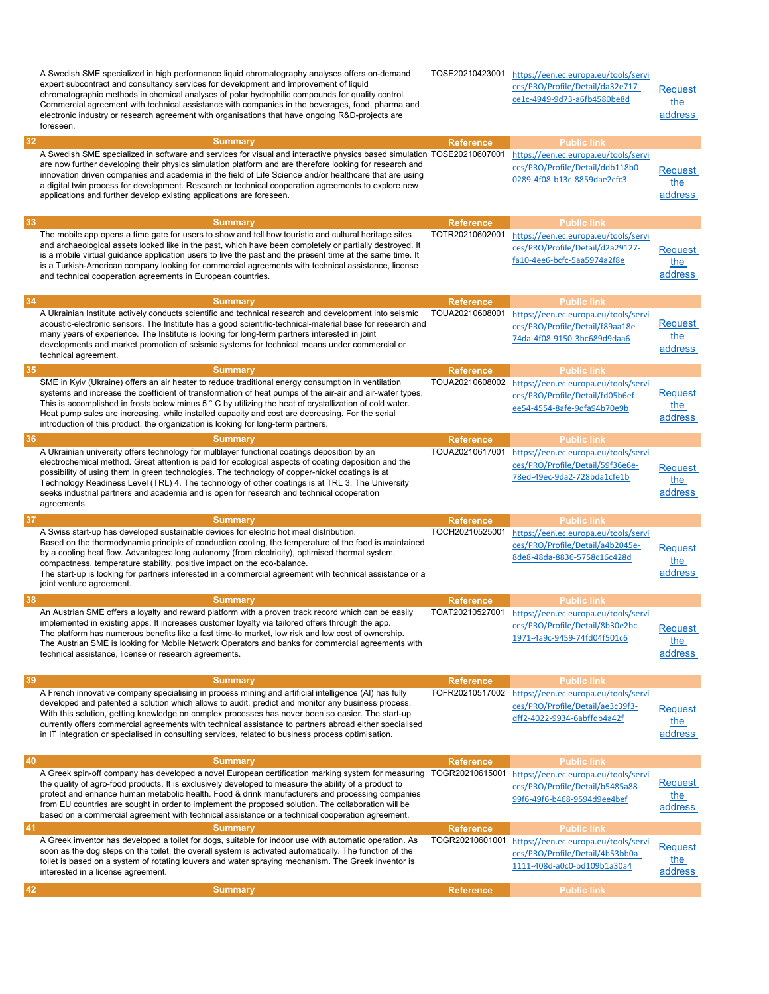| 32 | A Swedish SME specialized in high performance liquid chromatography analyses offers on-demand<br>expert subcontract and consultancy services for development and improvement of liquid<br>chromatographic methods in chemical analyses of polar hydrophilic compounds for quality control.<br>Commercial agreement with technical assistance with companies in the beverages, food, pharma and<br>electronic industry or research agreement with organisations that have ongoing R&D-projects are<br>foreseen.<br><b>Summary</b>         | TOSE20210423001<br><b>Reference</b> | https://een.ec.europa.eu/tools/servi<br>ces/PRO/Profile/Detail/da32e717-<br>ce1c-4949-9d73-a6fb4580be8d<br><b>Public link</b> | <b>Request</b><br>the<br>address |
|----|------------------------------------------------------------------------------------------------------------------------------------------------------------------------------------------------------------------------------------------------------------------------------------------------------------------------------------------------------------------------------------------------------------------------------------------------------------------------------------------------------------------------------------------|-------------------------------------|-------------------------------------------------------------------------------------------------------------------------------|----------------------------------|
|    | A Swedish SME specialized in software and services for visual and interactive physics based simulation TOSE20210607001<br>are now further developing their physics simulation platform and are therefore looking for research and<br>innovation driven companies and academia in the field of Life Science and/or healthcare that are using<br>a digital twin process for development. Research or technical cooperation agreements to explore new<br>applications and further develop existing applications are foreseen.               |                                     | https://een.ec.europa.eu/tools/servi<br>ces/PRO/Profile/Detail/ddb118b0-<br>0289-4f08-b13c-8859dae2cfc3                       | <b>Request</b><br>the<br>address |
| 33 | <b>Summary</b>                                                                                                                                                                                                                                                                                                                                                                                                                                                                                                                           | <b>Reference</b>                    | <b>Public link</b>                                                                                                            |                                  |
|    | The mobile app opens a time gate for users to show and tell how touristic and cultural heritage sites<br>and archaeological assets looked like in the past, which have been completely or partially destroyed. It<br>is a mobile virtual guidance application users to live the past and the present time at the same time. It<br>is a Turkish-American company looking for commercial agreements with technical assistance, license<br>and technical cooperation agreements in European countries.                                      | TOTR20210602001                     | https://een.ec.europa.eu/tools/servi<br>ces/PRO/Profile/Detail/d2a29127-<br>fa10-4ee6-bcfc-5aa5974a2f8e                       | <b>Request</b><br>the<br>address |
| 34 | <b>Summary</b>                                                                                                                                                                                                                                                                                                                                                                                                                                                                                                                           | <b>Reference</b>                    | <b>Public link</b>                                                                                                            |                                  |
|    | A Ukrainian Institute actively conducts scientific and technical research and development into seismic<br>acoustic-electronic sensors. The Institute has a good scientific-technical-material base for research and<br>many years of experience. The Institute is looking for long-term partners interested in joint<br>developments and market promotion of seismic systems for technical means under commercial or<br>technical agreement.                                                                                             | TOUA20210608001                     | https://een.ec.europa.eu/tools/servi<br>ces/PRO/Profile/Detail/f89aa18e-<br>74da-4f08-9150-3bc689d9daa6                       | Request<br>the<br>address        |
| 35 | <b>Summary</b>                                                                                                                                                                                                                                                                                                                                                                                                                                                                                                                           | <b>Reference</b>                    | <b>Public link</b>                                                                                                            |                                  |
|    | SME in Kyiv (Ukraine) offers an air heater to reduce traditional energy consumption in ventilation<br>systems and increase the coefficient of transformation of heat pumps of the air-air and air-water types.<br>This is accomplished in frosts below minus 5 ° C by utilizing the heat of crystallization of cold water.<br>Heat pump sales are increasing, while installed capacity and cost are decreasing. For the serial<br>introduction of this product, the organization is looking for long-term partners.                      | TOUA20210608002                     | https://een.ec.europa.eu/tools/servi<br>ces/PRO/Profile/Detail/fd05b6ef-<br>ee54-4554-8afe-9dfa94b70e9b                       | <b>Request</b><br>the<br>address |
| 36 | <b>Summary</b>                                                                                                                                                                                                                                                                                                                                                                                                                                                                                                                           | <b>Reference</b>                    | <b>Public link</b>                                                                                                            |                                  |
|    | A Ukrainian university offers technology for multilayer functional coatings deposition by an<br>electrochemical method. Great attention is paid for ecological aspects of coating deposition and the<br>possibility of using them in green technologies. The technology of copper-nickel coatings is at<br>Technology Readiness Level (TRL) 4. The technology of other coatings is at TRL 3. The University<br>seeks industrial partners and academia and is open for research and technical cooperation<br>agreements.                  | TOUA20210617001                     | https://een.ec.europa.eu/tools/servi<br>ces/PRO/Profile/Detail/59f36e6e-<br>78ed-49ec-9da2-728bda1cfe1b                       | Request<br>the<br>address        |
| 37 | <b>Summary</b>                                                                                                                                                                                                                                                                                                                                                                                                                                                                                                                           | <b>Reference</b>                    | <b>Public link</b>                                                                                                            |                                  |
|    | A Swiss start-up has developed sustainable devices for electric hot meal distribution.<br>Based on the thermodynamic principle of conduction cooling, the temperature of the food is maintained<br>by a cooling heat flow. Advantages: long autonomy (from electricity), optimised thermal system,<br>compactness, temperature stability, positive impact on the eco-balance.<br>The start-up is looking for partners interested in a commercial agreement with technical assistance or a<br>joint venture agreement.                    | TOCH20210525001                     | https://een.ec.europa.eu/tools/servi<br>ces/PRO/Profile/Detail/a4b2045e-<br>8de8-48da-8836-5758c16c428d                       | <b>Request</b><br>the<br>address |
| 38 | <b>Summary</b>                                                                                                                                                                                                                                                                                                                                                                                                                                                                                                                           | <b>Reference</b>                    | <b>Public link</b>                                                                                                            |                                  |
|    | An Austrian SME offers a loyalty and reward platform with a proven track record which can be easily<br>implemented in existing apps. It increases customer loyalty via tailored offers through the app.<br>The platform has numerous benefits like a fast time-to market, low risk and low cost of ownership.<br>The Austrian SME is looking for Mobile Network Operators and banks for commercial agreements with<br>technical assistance, license or research agreements.                                                              | TOAT20210527001                     | https://een.ec.europa.eu/tools/servi<br>ces/PRO/Profile/Detail/8b30e2bc-<br>1971-4a9c-9459-74fd04f501c6                       | Request<br>the<br>address        |
| 39 | <b>Summary</b>                                                                                                                                                                                                                                                                                                                                                                                                                                                                                                                           | <b>Reference</b>                    | <b>Public link</b>                                                                                                            |                                  |
|    | A French innovative company specialising in process mining and artificial intelligence (AI) has fully                                                                                                                                                                                                                                                                                                                                                                                                                                    | TOFR20210517002                     | https://een.ec.europa.eu/tools/servi                                                                                          |                                  |
|    | developed and patented a solution which allows to audit, predict and monitor any business process.<br>With this solution, getting knowledge on complex processes has never been so easier. The start-up<br>currently offers commercial agreements with technical assistance to partners abroad either specialised<br>in IT integration or specialised in consulting services, related to business process optimisation.                                                                                                                  |                                     | ces/PRO/Profile/Detail/ae3c39f3-<br>dff2-4022-9934-6abffdb4a42f                                                               | Request<br>the<br>address        |
| 40 | <b>Summary</b>                                                                                                                                                                                                                                                                                                                                                                                                                                                                                                                           | <b>Reference</b>                    | <b>Public link</b>                                                                                                            |                                  |
|    | A Greek spin-off company has developed a novel European certification marking system for measuring TOGR20210615001<br>the quality of agro-food products. It is exclusively developed to measure the ability of a product to<br>protect and enhance human metabolic health. Food & drink manufacturers and processing companies<br>from EU countries are sought in order to implement the proposed solution. The collaboration will be<br>based on a commercial agreement with technical assistance or a technical cooperation agreement. |                                     | https://een.ec.europa.eu/tools/servi<br>ces/PRO/Profile/Detail/b5485a88-<br>99f6-49f6-b468-9594d9ee4bef                       | Request<br>the<br>address        |
| 41 | <b>Summary</b>                                                                                                                                                                                                                                                                                                                                                                                                                                                                                                                           | <b>Reference</b>                    | <b>Public link</b>                                                                                                            |                                  |
|    | A Greek inventor has developed a toilet for dogs, suitable for indoor use with automatic operation. As<br>soon as the dog steps on the toilet, the overall system is activated automatically. The function of the<br>toilet is based on a system of rotating louvers and water spraying mechanism. The Greek inventor is<br>interested in a license agreement.                                                                                                                                                                           | TOGR20210601001                     | https://een.ec.europa.eu/tools/servi<br>ces/PRO/Profile/Detail/4b53bb0a-<br>1111-408d-a0c0-bd109b1a30a4                       | Request<br>the<br>address        |
| 42 | <b>Summary</b>                                                                                                                                                                                                                                                                                                                                                                                                                                                                                                                           | <b>Reference</b>                    | <b>Public link</b>                                                                                                            |                                  |
|    |                                                                                                                                                                                                                                                                                                                                                                                                                                                                                                                                          |                                     |                                                                                                                               |                                  |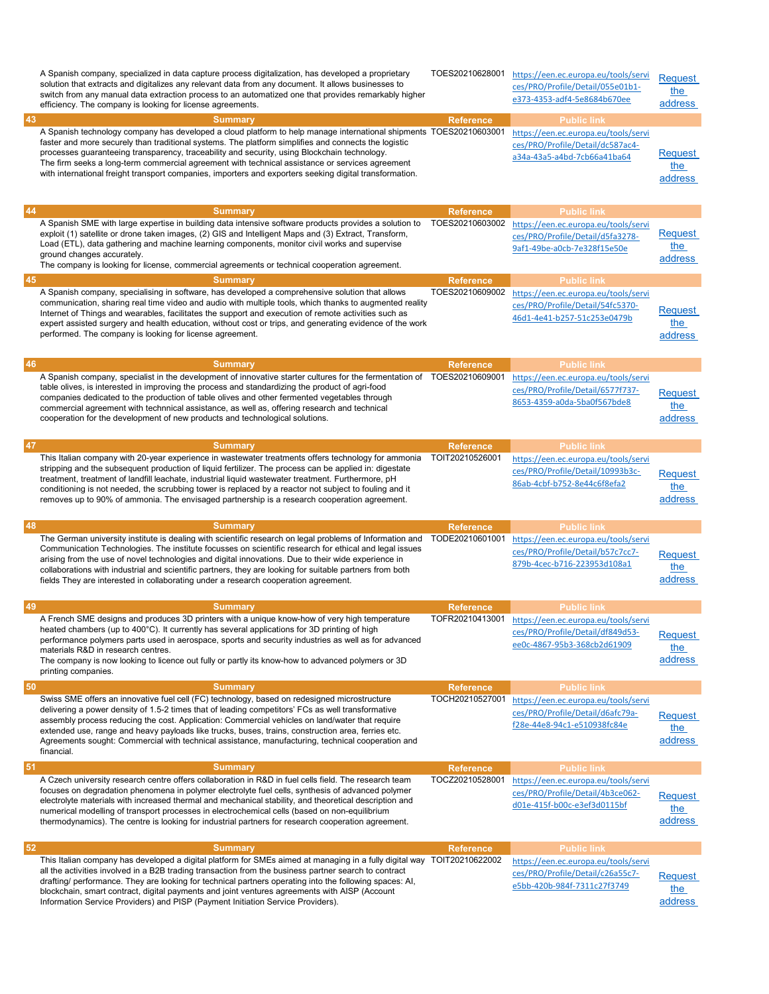|    | A Spanish company, specialized in data capture process digitalization, has developed a proprietary<br>solution that extracts and digitalizes any relevant data from any document. It allows businesses to<br>switch from any manual data extraction process to an automatized one that provides remarkably higher<br>efficiency. The company is looking for license agreements.                                                                                                                                                          | TOES20210628001  | https://een.ec.europa.eu/tools/servi<br>ces/PRO/Profile/Detail/055e01b1-<br>e373-4353-adf4-5e8684b670ee                 | Request<br>the<br>address        |
|----|------------------------------------------------------------------------------------------------------------------------------------------------------------------------------------------------------------------------------------------------------------------------------------------------------------------------------------------------------------------------------------------------------------------------------------------------------------------------------------------------------------------------------------------|------------------|-------------------------------------------------------------------------------------------------------------------------|----------------------------------|
| 43 | <b>Summary</b>                                                                                                                                                                                                                                                                                                                                                                                                                                                                                                                           | <b>Reference</b> | <b>Public link</b>                                                                                                      |                                  |
|    | A Spanish technology company has developed a cloud platform to help manage international shipments TOES20210603001<br>faster and more securely than traditional systems. The platform simplifies and connects the logistic<br>processes guaranteeing transparency, traceability and security, using Blockchain technology.<br>The firm seeks a long-term commercial agreement with technical assistance or services agreement<br>with international freight transport companies, importers and exporters seeking digital transformation. |                  | https://een.ec.europa.eu/tools/servi<br>ces/PRO/Profile/Detail/dc587ac4-<br>a34a-43a5-a4bd-7cb66a41ba64                 | Request<br>the<br>address        |
| 44 | <b>Summary</b>                                                                                                                                                                                                                                                                                                                                                                                                                                                                                                                           | <b>Reference</b> | <b>Public link</b>                                                                                                      |                                  |
|    | A Spanish SME with large expertise in building data intensive software products provides a solution to<br>exploit (1) satellite or drone taken images, (2) GIS and Intelligent Maps and (3) Extract, Transform,<br>Load (ETL), data gathering and machine learning components, monitor civil works and supervise<br>ground changes accurately.<br>The company is looking for license, commercial agreements or technical cooperation agreement.                                                                                          | TOES20210603002  | https://een.ec.europa.eu/tools/servi<br>ces/PRO/Profile/Detail/d5fa3278-<br>9af1-49be-a0cb-7e328f15e50e                 | Request<br>the<br>address        |
| 45 | <b>Summary</b>                                                                                                                                                                                                                                                                                                                                                                                                                                                                                                                           | <b>Reference</b> | <b>Public link</b>                                                                                                      |                                  |
|    | A Spanish company, specialising in software, has developed a comprehensive solution that allows<br>communication, sharing real time video and audio with multiple tools, which thanks to augmented reality<br>Internet of Things and wearables, facilitates the support and execution of remote activities such as<br>expert assisted surgery and health education, without cost or trips, and generating evidence of the work<br>performed. The company is looking for license agreement.                                               | TOES20210609002  | https://een.ec.europa.eu/tools/servi<br>ces/PRO/Profile/Detail/54fc5370-<br>46d1-4e41-b257-51c253e0479b                 | Request<br>the<br>address        |
| 46 | <b>Summary</b>                                                                                                                                                                                                                                                                                                                                                                                                                                                                                                                           | <b>Reference</b> | <b>Public link</b>                                                                                                      |                                  |
|    | A Spanish company, specialist in the development of innovative starter cultures for the fermentation of TOES20210609001<br>table olives, is interested in improving the process and standardizing the product of agri-food<br>companies dedicated to the production of table olives and other fermented vegetables through<br>commercial agreement with technnical assistance, as well as, offering research and technical<br>cooperation for the development of new products and technological solutions.                               |                  | https://een.ec.europa.eu/tools/servi<br>ces/PRO/Profile/Detail/6577f737-<br>8653-4359-a0da-5ba0f567bde8                 | Request<br>the<br>address        |
| 47 | <b>Summary</b>                                                                                                                                                                                                                                                                                                                                                                                                                                                                                                                           | <b>Reference</b> | <b>Public link</b>                                                                                                      |                                  |
|    | This Italian company with 20-year experience in wastewater treatments offers technology for ammonia<br>stripping and the subsequent production of liquid fertilizer. The process can be applied in: digestate<br>treatment, treatment of landfill leachate, industrial liquid wastewater treatment. Furthermore, pH<br>conditioning is not needed, the scrubbing tower is replaced by a reactor not subject to fouling and it<br>removes up to 90% of ammonia. The envisaged partnership is a research cooperation agreement.            | TOIT20210526001  | https://een.ec.europa.eu/tools/servi<br>ces/PRO/Profile/Detail/10993b3c-<br>86ab-4cbf-b752-8e44c6f8efa2                 | Request<br>the<br>address        |
| 48 | <b>Summary</b>                                                                                                                                                                                                                                                                                                                                                                                                                                                                                                                           | <b>Reference</b> | <b>Public link</b>                                                                                                      |                                  |
|    | The German university institute is dealing with scientific research on legal problems of Information and<br>Communication Technologies. The institute focusses on scientific research for ethical and legal issues<br>arising from the use of novel technologies and digital innovations. Due to their wide experience in<br>collaborations with industrial and scientific partners, they are looking for suitable partners from both<br>fields They are interested in collaborating under a research cooperation agreement.             | TODE20210601001  | https://een.ec.europa.eu/tools/servi<br>ces/PRO/Profile/Detail/b57c7cc7-<br>879b-4cec-b716-223953d108a1                 | <b>Request</b><br>the<br>address |
| 49 | <b>Summary</b>                                                                                                                                                                                                                                                                                                                                                                                                                                                                                                                           | <b>Reference</b> | <b>Public link</b>                                                                                                      |                                  |
|    | A French SME designs and produces 3D printers with a unique know-how of very high temperature<br>heated chambers (up to 400°C). It currently has several applications for 3D printing of high<br>performance polymers parts used in aerospace, sports and security industries as well as for advanced<br>materials R&D in research centres.<br>The company is now looking to licence out fully or partly its know-how to advanced polymers or 3D<br>printing companies.                                                                  |                  | TOFR20210413001 https://een.ec.europa.eu/tools/servi<br>ces/PRO/Profile/Detail/df849d53-<br>ee0c-4867-95b3-368cb2d61909 | <b>Request</b><br>the<br>address |
| 50 | <b>Summary</b>                                                                                                                                                                                                                                                                                                                                                                                                                                                                                                                           | <b>Reference</b> | <b>Public link</b>                                                                                                      |                                  |
|    | Swiss SME offers an innovative fuel cell (FC) technology, based on redesigned microstructure<br>delivering a power density of 1.5-2 times that of leading competitors' FCs as well transformative<br>assembly process reducing the cost. Application: Commercial vehicles on land/water that require<br>extended use, range and heavy payloads like trucks, buses, trains, construction area, ferries etc.<br>Agreements sought: Commercial with technical assistance, manufacturing, technical cooperation and<br>financial.            | TOCH20210527001  | https://een.ec.europa.eu/tools/servi<br>ces/PRO/Profile/Detail/d6afc79a-<br>f28e-44e8-94c1-e510938fc84e                 | Request<br>the<br>address        |
| 51 | <b>Summary</b>                                                                                                                                                                                                                                                                                                                                                                                                                                                                                                                           | <b>Reference</b> | <b>Public link</b>                                                                                                      |                                  |
|    | A Czech university research centre offers collaboration in R&D in fuel cells field. The research team<br>focuses on degradation phenomena in polymer electrolyte fuel cells, synthesis of advanced polymer<br>electrolyte materials with increased thermal and mechanical stability, and theoretical description and<br>numerical modelling of transport processes in electrochemical cells (based on non-equilibrium<br>thermodynamics). The centre is looking for industrial partners for research cooperation agreement.              | TOCZ20210528001  | https://een.ec.europa.eu/tools/servi<br>ces/PRO/Profile/Detail/4b3ce062-<br>d01e-415f-b00c-e3ef3d0115bf                 | Request<br>the<br>address        |
| 52 | <b>Summary</b>                                                                                                                                                                                                                                                                                                                                                                                                                                                                                                                           | <b>Reference</b> | <b>Public link</b>                                                                                                      |                                  |
|    | This Italian company has developed a digital platform for SMEs aimed at managing in a fully digital way TOIT20210622002<br>all the activities involved in a B2B trading transaction from the business partner search to contract<br>drafting/ performance. They are looking for technical partners operating into the following spaces: AI,<br>blockchain, smart contract, digital payments and joint ventures agreements with AISP (Account<br>Information Service Providers) and PISP (Payment Initiation Service Providers).          |                  | https://een.ec.europa.eu/tools/servi<br>ces/PRO/Profile/Detail/c26a55c7-<br>e5bb-420b-984f-7311c27f3749                 | Request<br>the<br>address        |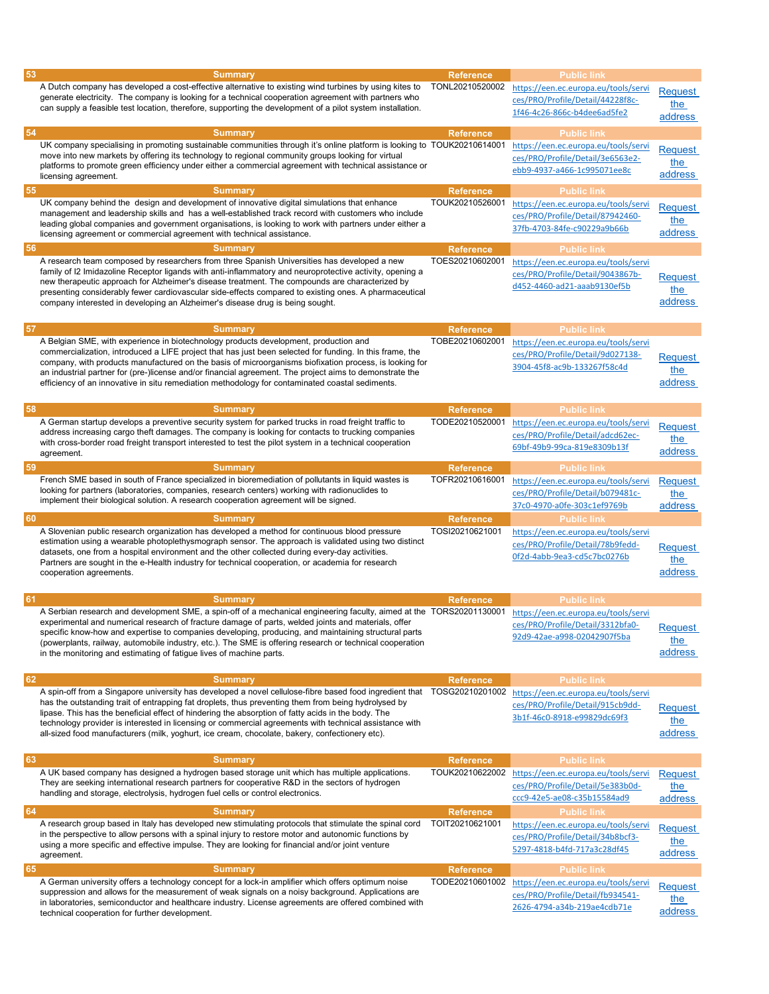| 53 | <b>Summary</b><br>A Dutch company has developed a cost-effective alternative to existing wind turbines by using kites to<br>generate electricity. The company is looking for a technical cooperation agreement with partners who<br>can supply a feasible test location, therefore, supporting the development of a pilot system installation.                                                                                                                                                                                                                     | <b>Reference</b><br>TONL20210520002 | <b>Public link</b><br>https://een.ec.europa.eu/tools/servi<br>ces/PRO/Profile/Detail/44228f8c-<br>1f46-4c26-866c-b4dee6ad5fe2 | Request<br>the<br>address               |
|----|--------------------------------------------------------------------------------------------------------------------------------------------------------------------------------------------------------------------------------------------------------------------------------------------------------------------------------------------------------------------------------------------------------------------------------------------------------------------------------------------------------------------------------------------------------------------|-------------------------------------|-------------------------------------------------------------------------------------------------------------------------------|-----------------------------------------|
|    |                                                                                                                                                                                                                                                                                                                                                                                                                                                                                                                                                                    |                                     |                                                                                                                               |                                         |
| 54 | <b>Summary</b><br>UK company specialising in promoting sustainable communities through it's online platform is looking to TOUK20210614001<br>move into new markets by offering its technology to regional community groups looking for virtual<br>platforms to promote green efficiency under either a commercial agreement with technical assistance or<br>licensing agreement.                                                                                                                                                                                   | <b>Reference</b>                    | <b>Public link</b><br>https://een.ec.europa.eu/tools/servi<br>ces/PRO/Profile/Detail/3e6563e2-<br>ebb9-4937-a466-1c995071ee8c | <b>Request</b><br>the<br>address        |
| 55 | <b>Summary</b>                                                                                                                                                                                                                                                                                                                                                                                                                                                                                                                                                     | <b>Reference</b>                    | <b>Public link</b>                                                                                                            |                                         |
|    | UK company behind the design and development of innovative digital simulations that enhance<br>management and leadership skills and has a well-established track record with customers who include<br>leading global companies and government organisations, is looking to work with partners under either a<br>licensing agreement or commercial agreement with technical assistance.                                                                                                                                                                             | TOUK20210526001                     | https://een.ec.europa.eu/tools/servi<br>ces/PRO/Profile/Detail/87942460-<br>37fb-4703-84fe-c90229a9b66b                       | <b>Request</b><br>the<br>address        |
| 56 | <b>Summary</b>                                                                                                                                                                                                                                                                                                                                                                                                                                                                                                                                                     | <b>Reference</b>                    | <b>Public link</b>                                                                                                            |                                         |
|    | A research team composed by researchers from three Spanish Universities has developed a new<br>family of I2 Imidazoline Receptor ligands with anti-inflammatory and neuroprotective activity, opening a<br>new therapeutic approach for Alzheimer's disease treatment. The compounds are characterized by<br>presenting considerably fewer cardiovascular side-effects compared to existing ones. A pharmaceutical<br>company interested in developing an Alzheimer's disease drug is being sought.                                                                | TOES20210602001                     | https://een.ec.europa.eu/tools/servi<br>ces/PRO/Profile/Detail/9043867b-<br>d452-4460-ad21-aaab9130ef5b                       | Request<br>the<br>address               |
| 57 | <b>Summary</b>                                                                                                                                                                                                                                                                                                                                                                                                                                                                                                                                                     | <b>Reference</b>                    | <b>Public link</b>                                                                                                            |                                         |
|    | A Belgian SME, with experience in biotechnology products development, production and<br>commercialization, introduced a LIFE project that has just been selected for funding. In this frame, the<br>company, with products manufactured on the basis of microorganisms biofixation process, is looking for<br>an industrial partner for (pre-)license and/or financial agreement. The project aims to demonstrate the<br>efficiency of an innovative in situ remediation methodology for contaminated coastal sediments.                                           | TOBE20210602001                     | https://een.ec.europa.eu/tools/servi<br>ces/PRO/Profile/Detail/9d027138-<br>3904-45f8-ac9b-133267f58c4d                       | Request<br><u>the</u><br>address        |
| 58 | <b>Summary</b>                                                                                                                                                                                                                                                                                                                                                                                                                                                                                                                                                     | <b>Reference</b>                    | <b>Public link</b>                                                                                                            |                                         |
|    | A German startup develops a preventive security system for parked trucks in road freight traffic to<br>address increasing cargo theft damages. The company is looking for contacts to trucking companies<br>with cross-border road freight transport interested to test the pilot system in a technical cooperation<br>agreement.                                                                                                                                                                                                                                  | TODE20210520001                     | https://een.ec.europa.eu/tools/servi<br>ces/PRO/Profile/Detail/adcd62ec-<br>69bf-49b9-99ca-819e8309b13f                       | <b>Request</b><br>the<br>address        |
| 59 | <b>Summary</b>                                                                                                                                                                                                                                                                                                                                                                                                                                                                                                                                                     | <b>Reference</b>                    | <b>Public link</b>                                                                                                            |                                         |
|    | French SME based in south of France specialized in bioremediation of pollutants in liquid wastes is<br>looking for partners (laboratories, companies, research centers) working with radionuclides to<br>implement their biological solution. A research cooperation agreement will be signed.                                                                                                                                                                                                                                                                     | TOFR20210616001                     | https://een.ec.europa.eu/tools/servi<br>ces/PRO/Profile/Detail/b079481c-<br>37c0-4970-a0fe-303c1ef9769b                       | <b>Request</b><br>the<br>address        |
| 60 | <b>Summary</b>                                                                                                                                                                                                                                                                                                                                                                                                                                                                                                                                                     | <b>Reference</b>                    | <b>Public link</b>                                                                                                            |                                         |
|    | A Slovenian public research organization has developed a method for continuous blood pressure<br>estimation using a wearable photoplethysmograph sensor. The approach is validated using two distinct<br>datasets, one from a hospital environment and the other collected during every-day activities.<br>Partners are sought in the e-Health industry for technical cooperation, or academia for research<br>cooperation agreements.                                                                                                                             | TOSI20210621001                     | https://een.ec.europa.eu/tools/servi<br>ces/PRO/Profile/Detail/78b9fedd-<br>0f2d-4abb-9ea3-cd5c7bc0276b                       | Request<br>the<br>address               |
| 61 | <b>Summary</b>                                                                                                                                                                                                                                                                                                                                                                                                                                                                                                                                                     | <b>Reference</b>                    | <b>Public link</b>                                                                                                            |                                         |
|    | A Serbian research and development SME, a spin-off of a mechanical engineering faculty, aimed at the TORS20201130001<br>experimental and numerical research of fracture damage of parts, welded joints and materials, offer<br>specific know-how and expertise to companies developing, producing, and maintaining structural parts<br>(powerplants, railway, automobile industry, etc.). The SME is offering research or technical cooperation<br>in the monitoring and estimating of fatigue lives of machine parts.                                             |                                     | https://een.ec.europa.eu/tools/servi<br>ces/PRO/Profile/Detail/3312bfa0-<br>92d9-42ae-a998-02042907f5ba                       | <b>Request</b><br>the<br>address        |
|    |                                                                                                                                                                                                                                                                                                                                                                                                                                                                                                                                                                    |                                     |                                                                                                                               |                                         |
| 62 | <b>Summary</b><br>A spin-off from a Singapore university has developed a novel cellulose-fibre based food ingredient that TOSG20210201002<br>has the outstanding trait of entrapping fat droplets, thus preventing them from being hydrolysed by<br>lipase. This has the beneficial effect of hindering the absorption of fatty acids in the body. The<br>technology provider is interested in licensing or commercial agreements with technical assistance with<br>all-sized food manufacturers (milk, yoghurt, ice cream, chocolate, bakery, confectionery etc). | <b>Reference</b>                    | <b>Public link</b><br>https://een.ec.europa.eu/tools/servi<br>ces/PRO/Profile/Detail/915cb9dd-<br>3b1f-46c0-8918-e99829dc69f3 | Request<br>the<br>address               |
| 63 | <b>Summary</b>                                                                                                                                                                                                                                                                                                                                                                                                                                                                                                                                                     | <b>Reference</b>                    | <b>Public link</b>                                                                                                            |                                         |
|    | A UK based company has designed a hydrogen based storage unit which has multiple applications.<br>They are seeking international research partners for cooperative R&D in the sectors of hydrogen<br>handling and storage, electrolysis, hydrogen fuel cells or control electronics.                                                                                                                                                                                                                                                                               | TOUK20210622002                     | https://een.ec.europa.eu/tools/servi<br>ces/PRO/Profile/Detail/5e383b0d-<br>ccc9-42e5-ae08-c35b15584ad9                       | Request<br>the<br>address               |
| 64 | <b>Summary</b>                                                                                                                                                                                                                                                                                                                                                                                                                                                                                                                                                     | <b>Reference</b>                    | <b>Public link</b>                                                                                                            |                                         |
|    | A research group based in Italy has developed new stimulating protocols that stimulate the spinal cord<br>in the perspective to allow persons with a spinal injury to restore motor and autonomic functions by<br>using a more specific and effective impulse. They are looking for financial and/or joint venture<br>agreement.                                                                                                                                                                                                                                   | TOIT20210621001                     | https://een.ec.europa.eu/tools/servi<br>ces/PRO/Profile/Detail/34b8bcf3-<br>5297-4818-b4fd-717a3c28df45                       | <b>Request</b><br>the<br>address        |
| 65 | <b>Summary</b>                                                                                                                                                                                                                                                                                                                                                                                                                                                                                                                                                     | <b>Reference</b>                    | <b>Public link</b>                                                                                                            |                                         |
|    | A German university offers a technology concept for a lock-in amplifier which offers optimum noise<br>suppression and allows for the measurement of weak signals on a noisy background. Applications are<br>in laboratories, semiconductor and healthcare industry. License agreements are offered combined with<br>technical cooperation for further development.                                                                                                                                                                                                 | TODE20210601002                     | https://een.ec.europa.eu/tools/servi<br>ces/PRO/Profile/Detail/fb934541-<br>2626-4794-a34b-219ae4cdb71e                       | <b>Request</b><br><u>the</u><br>address |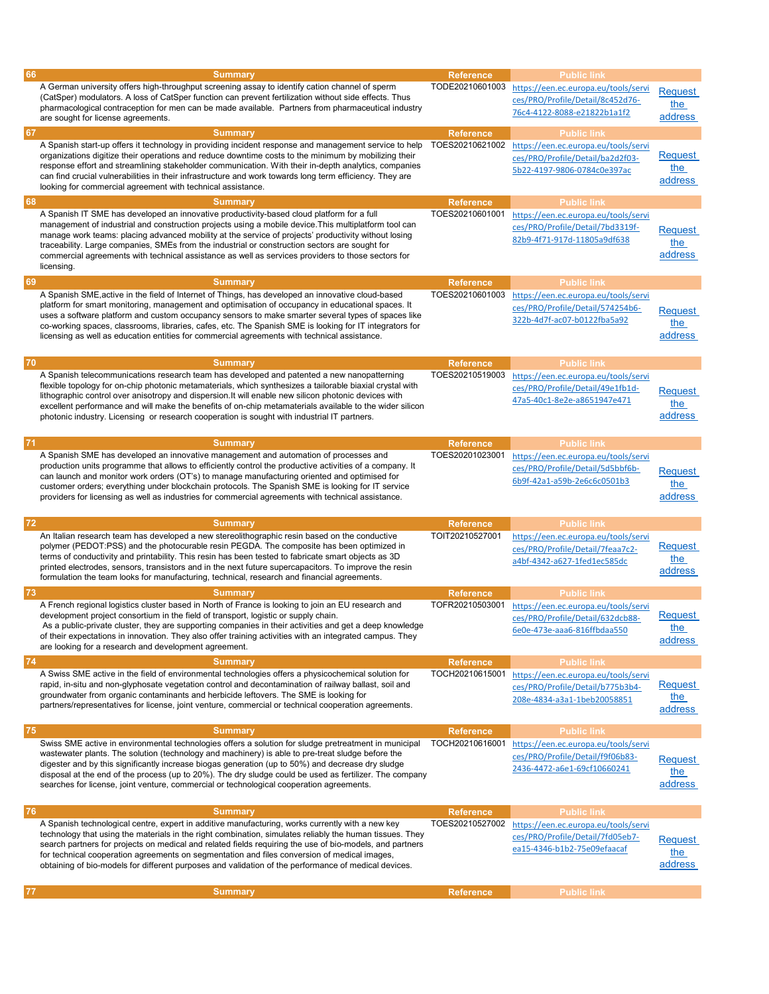| 66 |                                                                                                           |                  |                                      |                |
|----|-----------------------------------------------------------------------------------------------------------|------------------|--------------------------------------|----------------|
|    | <b>Summary</b>                                                                                            | <b>Reference</b> | <b>Public link</b>                   |                |
|    | A German university offers high-throughput screening assay to identify cation channel of sperm            | TODE20210601003  | https://een.ec.europa.eu/tools/servi |                |
|    | (CatSper) modulators. A loss of CatSper function can prevent fertilization without side effects. Thus     |                  |                                      | <b>Request</b> |
|    |                                                                                                           |                  | ces/PRO/Profile/Detail/8c452d76-     | the            |
|    | pharmacological contraception for men can be made available. Partners from pharmaceutical industry        |                  | 76c4-4122-8088-e21822b1a1f2          | address        |
|    | are sought for license agreements.                                                                        |                  |                                      |                |
| 67 | <b>Summary</b>                                                                                            | <b>Reference</b> | <b>Public link</b>                   |                |
|    |                                                                                                           |                  |                                      |                |
|    | A Spanish start-up offers it technology in providing incident response and management service to help     | TOES20210621002  | https://een.ec.europa.eu/tools/servi |                |
|    | organizations digitize their operations and reduce downtime costs to the minimum by mobilizing their      |                  | ces/PRO/Profile/Detail/ba2d2f03-     | Request        |
|    | response effort and streamlining stakeholder communication. With their in-depth analytics, companies      |                  | 5b22-4197-9806-0784c0e397ac          | the            |
|    | can find crucial vulnerabilities in their infrastructure and work towards long term efficiency. They are  |                  |                                      |                |
|    | looking for commercial agreement with technical assistance.                                               |                  |                                      | address        |
|    |                                                                                                           |                  |                                      |                |
| 68 | <b>Summary</b>                                                                                            | <b>Reference</b> | <b>Public link</b>                   |                |
|    | A Spanish IT SME has developed an innovative productivity-based cloud platform for a full                 | TOES20210601001  | https://een.ec.europa.eu/tools/servi |                |
|    | management of industrial and construction projects using a mobile device. This multiplatform tool can     |                  |                                      |                |
|    |                                                                                                           |                  | ces/PRO/Profile/Detail/7bd3319f-     | <b>Request</b> |
|    | manage work teams: placing advanced mobility at the service of projects' productivity without losing      |                  | 82b9-4f71-917d-11805a9df638          |                |
|    | traceability. Large companies, SMEs from the industrial or construction sectors are sought for            |                  |                                      | the            |
|    | commercial agreements with technical assistance as well as services providers to those sectors for        |                  |                                      | address        |
|    | licensing.                                                                                                |                  |                                      |                |
|    |                                                                                                           |                  |                                      |                |
| 69 | <b>Summary</b>                                                                                            | <b>Reference</b> | <b>Public link</b>                   |                |
|    | A Spanish SME, active in the field of Internet of Things, has developed an innovative cloud-based         | TOES20210601003  | https://een.ec.europa.eu/tools/servi |                |
|    |                                                                                                           |                  |                                      |                |
|    | platform for smart monitoring, management and optimisation of occupancy in educational spaces. It         |                  | ces/PRO/Profile/Detail/574254b6-     | Request        |
|    | uses a software platform and custom occupancy sensors to make smarter several types of spaces like        |                  | 322b-4d7f-ac07-b0122fba5a92          |                |
|    | co-working spaces, classrooms, libraries, cafes, etc. The Spanish SME is looking for IT integrators for   |                  |                                      | the            |
|    | licensing as well as education entities for commercial agreements with technical assistance.              |                  |                                      | address        |
|    |                                                                                                           |                  |                                      |                |
|    |                                                                                                           |                  |                                      |                |
| 70 | <b>Summary</b>                                                                                            | <b>Reference</b> | <b>Public link</b>                   |                |
|    | A Spanish telecommunications research team has developed and patented a new nanopatterning                | TOES20210519003  |                                      |                |
|    |                                                                                                           |                  | https://een.ec.europa.eu/tools/servi |                |
|    | flexible topology for on-chip photonic metamaterials, which synthesizes a tailorable biaxial crystal with |                  | ces/PRO/Profile/Detail/49e1fb1d-     | Request        |
|    | lithographic control over anisotropy and dispersion. It will enable new silicon photonic devices with     |                  | 47a5-40c1-8e2e-a8651947e471          |                |
|    | excellent performance and will make the benefits of on-chip metamaterials available to the wider silicon  |                  |                                      | the            |
|    | photonic industry. Licensing or research cooperation is sought with industrial IT partners.               |                  |                                      | address        |
|    |                                                                                                           |                  |                                      |                |
|    |                                                                                                           |                  |                                      |                |
| 71 | <b>Summary</b>                                                                                            | <b>Reference</b> | <b>Public link</b>                   |                |
|    | A Spanish SME has developed an innovative management and automation of processes and                      | TOES20201023001  |                                      |                |
|    |                                                                                                           |                  | https://een.ec.europa.eu/tools/servi |                |
|    | production units programme that allows to efficiently control the productive activities of a company. It  |                  | ces/PRO/Profile/Detail/5d5bbf6b-     | <b>Request</b> |
|    | can launch and monitor work orders (OT's) to manage manufacturing oriented and optimised for              |                  | 6b9f-42a1-a59b-2e6c6c0501b3          |                |
|    | customer orders; everything under blockchain protocols. The Spanish SME is looking for IT service         |                  |                                      | the            |
|    | providers for licensing as well as industries for commercial agreements with technical assistance.        |                  |                                      | address        |
|    |                                                                                                           |                  |                                      |                |
|    |                                                                                                           |                  |                                      |                |
| 72 | <b>Summary</b>                                                                                            | <b>Reference</b> | <b>Public link</b>                   |                |
|    | An Italian research team has developed a new stereolithographic resin based on the conductive             | TOIT20210527001  | https://een.ec.europa.eu/tools/servi |                |
|    | polymer (PEDOT:PSS) and the photocurable resin PEGDA. The composite has been optimized in                 |                  |                                      |                |
|    |                                                                                                           |                  |                                      |                |
|    |                                                                                                           |                  | ces/PRO/Profile/Detail/7feaa7c2-     | <b>Request</b> |
|    | terms of conductivity and printability. This resin has been tested to fabricate smart objects as 3D       |                  |                                      | the            |
|    | printed electrodes, sensors, transistors and in the next future supercapacitors. To improve the resin     |                  | a4bf-4342-a627-1fed1ec585dc          |                |
|    | formulation the team looks for manufacturing, technical, research and financial agreements.               |                  |                                      | address        |
|    |                                                                                                           |                  |                                      |                |
| 73 | <b>Summary</b>                                                                                            | <b>Reference</b> | <b>Public link</b>                   |                |
|    | A French regional logistics cluster based in North of France is looking to join an EU research and        | TOFR20210503001  |                                      |                |
|    |                                                                                                           |                  | https://een.ec.europa.eu/tools/servi |                |
|    | development project consortium in the field of transport, logistic or supply chain.                       |                  | ces/PRO/Profile/Detail/632dcb88-     | <b>Request</b> |
|    | As a public-private cluster, they are supporting companies in their activities and get a deep knowledge   |                  | 6e0e-473e-aaa6-816ffbdaa550          | <u>the</u>     |
|    | of their expectations in innovation. They also offer training activities with an integrated campus. They  |                  |                                      | address        |
|    | are looking for a research and development agreement.                                                     |                  |                                      |                |
|    |                                                                                                           |                  |                                      |                |
| 74 | <b>Summary</b>                                                                                            | <b>Reference</b> | <b>Public link</b>                   |                |
|    | A Swiss SME active in the field of environmental technologies offers a physicochemical solution for       | TOCH20210615001  | https://een.ec.europa.eu/tools/servi |                |
|    | rapid, in-situ and non-glyphosate vegetation control and decontamination of railway ballast, soil and     |                  | ces/PRO/Profile/Detail/b775b3b4-     | <b>Request</b> |
|    | groundwater from organic contaminants and herbicide leftovers. The SME is looking for                     |                  |                                      |                |
|    |                                                                                                           |                  | 208e-4834-a3a1-1beb20058851          | the            |
|    | partners/representatives for license, joint venture, commercial or technical cooperation agreements.      |                  |                                      | address        |
|    |                                                                                                           |                  |                                      |                |
| 75 | <b>Summary</b>                                                                                            | <b>Reference</b> | <b>Public link</b>                   |                |
|    | Swiss SME active in environmental technologies offers a solution for sludge pretreatment in municipal     | TOCH20210616001  |                                      |                |
|    |                                                                                                           |                  | https://een.ec.europa.eu/tools/servi |                |
|    | wastewater plants. The solution (technology and machinery) is able to pre-treat sludge before the         |                  | ces/PRO/Profile/Detail/f9f06b83-     | <b>Request</b> |
|    | digester and by this significantly increase biogas generation (up to 50%) and decrease dry sludge         |                  | 2436-4472-a6e1-69cf10660241          |                |
|    | disposal at the end of the process (up to 20%). The dry sludge could be used as fertilizer. The company   |                  |                                      | the            |
|    | searches for license, joint venture, commercial or technological cooperation agreements.                  |                  |                                      | address        |
|    |                                                                                                           |                  |                                      |                |
|    |                                                                                                           |                  |                                      |                |
| 76 | <b>Summary</b>                                                                                            | <b>Reference</b> | <b>Public link</b>                   |                |
|    | A Spanish technological centre, expert in additive manufacturing, works currently with a new key          | TOES20210527002  | https://een.ec.europa.eu/tools/servi |                |
|    | technology that using the materials in the right combination, simulates reliably the human tissues. They  |                  |                                      |                |
|    |                                                                                                           |                  | ces/PRO/Profile/Detail/7fd05eb7-     | <b>Request</b> |
|    | search partners for projects on medical and related fields requiring the use of bio-models, and partners  |                  | ea15-4346-b1b2-75e09efaacaf          |                |
|    | for technical cooperation agreements on segmentation and files conversion of medical images,              |                  |                                      | the            |
|    | obtaining of bio-models for different purposes and validation of the performance of medical devices.      |                  |                                      | address        |
|    |                                                                                                           |                  |                                      |                |
|    |                                                                                                           |                  |                                      |                |
| 77 | <b>Summary</b>                                                                                            | <b>Reference</b> | <b>Public link</b>                   |                |